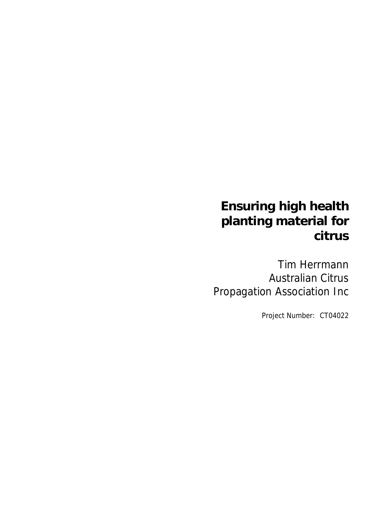# **Ensuring high health planting material for citrus**

Tim Herrmann Australian Citrus Propagation Association Inc

Project Number: CT04022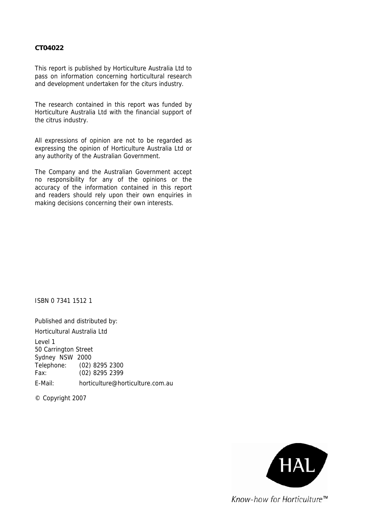#### **CT04022**

This report is published by Horticulture Australia Ltd to pass on information concerning horticultural research and development undertaken for the citurs industry.

The research contained in this report was funded by Horticulture Australia Ltd with the financial support of the citrus industry.

All expressions of opinion are not to be regarded as expressing the opinion of Horticulture Australia Ltd or any authority of the Australian Government.

The Company and the Australian Government accept no responsibility for any of the opinions or the accuracy of the information contained in this report and readers should rely upon their own enquiries in making decisions concerning their own interests.

ISBN 0 7341 1512 1

Published and distributed by: Horticultural Australia Ltd Level 1 50 Carrington Street Sydney NSW 2000 Telephone: (02) 8295 2300 Fax: (02) 8295 2399

E-Mail: horticulture@horticulture.com.au

© Copyright 2007

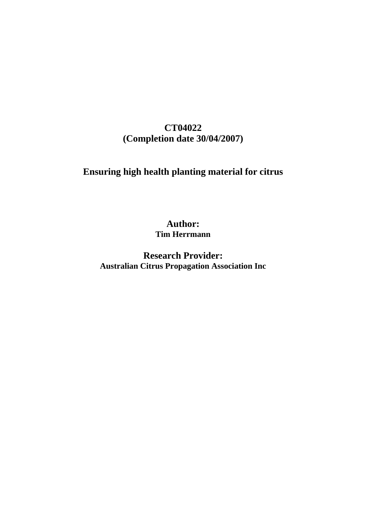## **CT04022 (Completion date 30/04/2007)**

## **Ensuring high health planting material for citrus**

**Author: Tim Herrmann** 

**Research Provider: Australian Citrus Propagation Association Inc**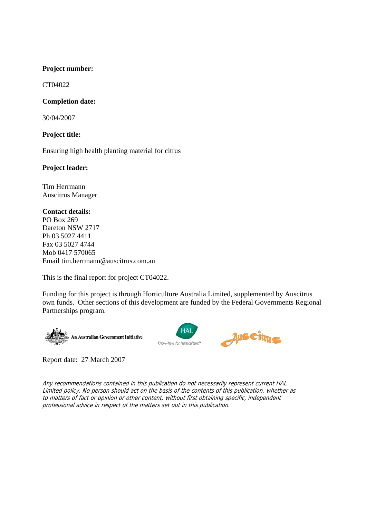#### **Project number:**

CT04022

#### **Completion date:**

30/04/2007

#### **Project title:**

Ensuring high health planting material for citrus

#### **Project leader:**

Tim Herrmann Auscitrus Manager

#### **Contact details:**

PO Box 269 Dareton NSW 2717 Ph 03 5027 4411 Fax 03 5027 4744 Mob 0417 570065 Email tim.herrmann@auscitrus.com.au

This is the final report for project CT04022.

Funding for this project is through Horticulture Australia Limited, supplemented by Auscitrus own funds. Other sections of this development are funded by the Federal Governments Regional Partnerships program.







Report date: 27 March 2007

Any recommendations contained in this publication do not necessarily represent current HAL Limited policy. No person should act on the basis of the contents of this publication, whether as to matters of fact or opinion or other content, without first obtaining specific, independent professional advice in respect of the matters set out in this publication.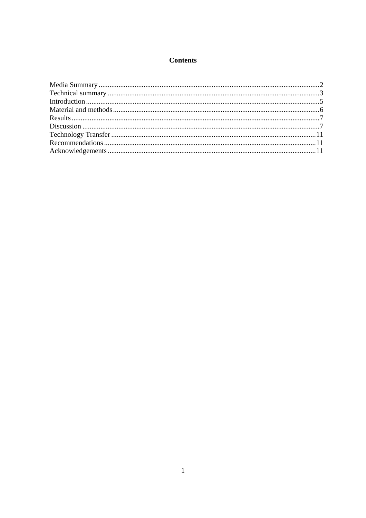## **Contents**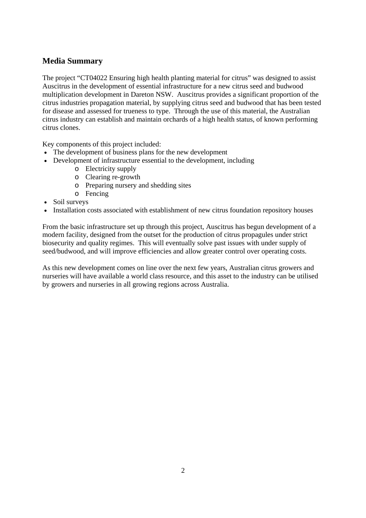## **Media Summary**

The project "CT04022 Ensuring high health planting material for citrus" was designed to assist Auscitrus in the development of essential infrastructure for a new citrus seed and budwood multiplication development in Dareton NSW. Auscitrus provides a significant proportion of the citrus industries propagation material, by supplying citrus seed and budwood that has been tested for disease and assessed for trueness to type. Through the use of this material, the Australian citrus industry can establish and maintain orchards of a high health status, of known performing citrus clones.

Key components of this project included:

- The development of business plans for the new development
- Development of infrastructure essential to the development, including
	- o Electricity supply
	- o Clearing re-growth
	- o Preparing nursery and shedding sites
	- o Fencing
- Soil surveys
- Installation costs associated with establishment of new citrus foundation repository houses

From the basic infrastructure set up through this project, Auscitrus has begun development of a modern facility, designed from the outset for the production of citrus propagules under strict biosecurity and quality regimes. This will eventually solve past issues with under supply of seed/budwood, and will improve efficiencies and allow greater control over operating costs.

As this new development comes on line over the next few years, Australian citrus growers and nurseries will have available a world class resource, and this asset to the industry can be utilised by growers and nurseries in all growing regions across Australia.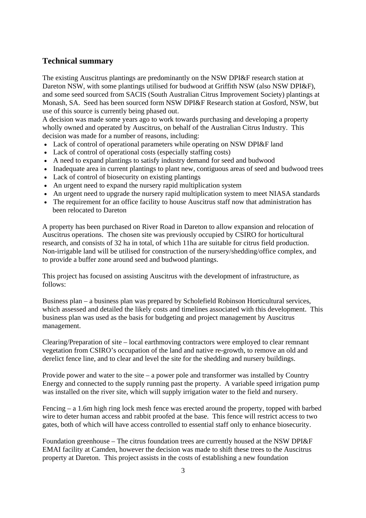### **Technical summary**

The existing Auscitrus plantings are predominantly on the NSW DPI&F research station at Dareton NSW, with some plantings utilised for budwood at Griffith NSW (also NSW DPI&F), and some seed sourced from SACIS (South Australian Citrus Improvement Society) plantings at Monash, SA. Seed has been sourced form NSW DPI&F Research station at Gosford, NSW, but use of this source is currently being phased out.

A decision was made some years ago to work towards purchasing and developing a property wholly owned and operated by Auscitrus, on behalf of the Australian Citrus Industry. This decision was made for a number of reasons, including:

- Lack of control of operational parameters while operating on NSW DPI&F land
- Lack of control of operational costs (especially staffing costs)
- A need to expand plantings to satisfy industry demand for seed and budwood
- Inadequate area in current plantings to plant new, contiguous areas of seed and budwood trees
- Lack of control of biosecurity on existing plantings
- An urgent need to expand the nursery rapid multiplication system
- An urgent need to upgrade the nursery rapid multiplication system to meet NIASA standards
- The requirement for an office facility to house Auscitrus staff now that administration has been relocated to Dareton

A property has been purchased on River Road in Dareton to allow expansion and relocation of Auscitrus operations. The chosen site was previously occupied by CSIRO for horticultural research, and consists of 32 ha in total, of which 11ha are suitable for citrus field production. Non-irrigable land will be utilised for construction of the nursery/shedding/office complex, and to provide a buffer zone around seed and budwood plantings.

This project has focused on assisting Auscitrus with the development of infrastructure, as follows:

Business plan – a business plan was prepared by Scholefield Robinson Horticultural services, which assessed and detailed the likely costs and timelines associated with this development. This business plan was used as the basis for budgeting and project management by Auscitrus management.

Clearing/Preparation of site – local earthmoving contractors were employed to clear remnant vegetation from CSIRO's occupation of the land and native re-growth, to remove an old and derelict fence line, and to clear and level the site for the shedding and nursery buildings.

Provide power and water to the site – a power pole and transformer was installed by Country Energy and connected to the supply running past the property. A variable speed irrigation pump was installed on the river site, which will supply irrigation water to the field and nursery.

Fencing – a 1.6m high ring lock mesh fence was erected around the property, topped with barbed wire to deter human access and rabbit proofed at the base. This fence will restrict access to two gates, both of which will have access controlled to essential staff only to enhance biosecurity.

Foundation greenhouse – The citrus foundation trees are currently housed at the NSW DPI&F EMAI facility at Camden, however the decision was made to shift these trees to the Auscitrus property at Dareton. This project assists in the costs of establishing a new foundation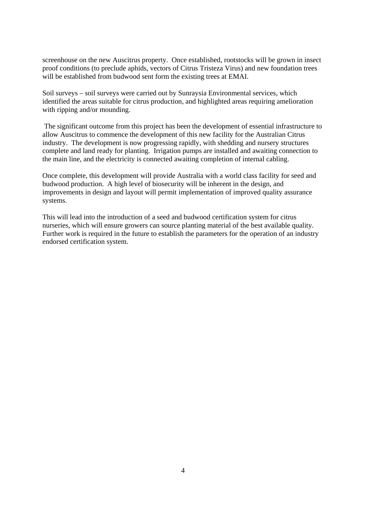screenhouse on the new Auscitrus property. Once established, rootstocks will be grown in insect proof conditions (to preclude aphids, vectors of Citrus Tristeza Virus) and new foundation trees will be established from budwood sent form the existing trees at EMAI.

Soil surveys – soil surveys were carried out by Sunraysia Environmental services, which identified the areas suitable for citrus production, and highlighted areas requiring amelioration with ripping and/or mounding.

 The significant outcome from this project has been the development of essential infrastructure to allow Auscitrus to commence the development of this new facility for the Australian Citrus industry. The development is now progressing rapidly, with shedding and nursery structures complete and land ready for planting. Irrigation pumps are installed and awaiting connection to the main line, and the electricity is connected awaiting completion of internal cabling.

Once complete, this development will provide Australia with a world class facility for seed and budwood production. A high level of biosecurity will be inherent in the design, and improvements in design and layout will permit implementation of improved quality assurance systems.

This will lead into the introduction of a seed and budwood certification system for citrus nurseries, which will ensure growers can source planting material of the best available quality. Further work is required in the future to establish the parameters for the operation of an industry endorsed certification system.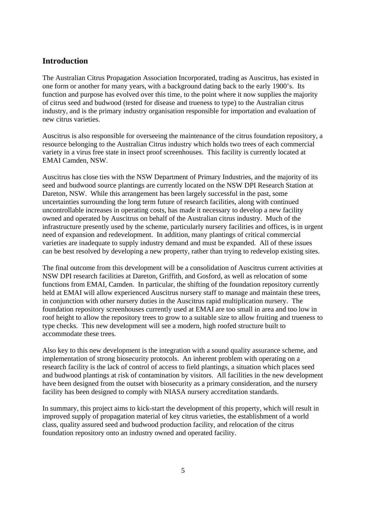#### **Introduction**

The Australian Citrus Propagation Association Incorporated, trading as Auscitrus, has existed in one form or another for many years, with a background dating back to the early 1900's. Its function and purpose has evolved over this time, to the point where it now supplies the majority of citrus seed and budwood (tested for disease and trueness to type) to the Australian citrus industry, and is the primary industry organisation responsible for importation and evaluation of new citrus varieties.

Auscitrus is also responsible for overseeing the maintenance of the citrus foundation repository, a resource belonging to the Australian Citrus industry which holds two trees of each commercial variety in a virus free state in insect proof screenhouses. This facility is currently located at EMAI Camden, NSW.

Auscitrus has close ties with the NSW Department of Primary Industries, and the majority of its seed and budwood source plantings are currently located on the NSW DPI Research Station at Dareton, NSW. While this arrangement has been largely successful in the past, some uncertainties surrounding the long term future of research facilities, along with continued uncontrollable increases in operating costs, has made it necessary to develop a new facility owned and operated by Auscitrus on behalf of the Australian citrus industry. Much of the infrastructure presently used by the scheme, particularly nursery facilities and offices, is in urgent need of expansion and redevelopment. In addition, many plantings of critical commercial varieties are inadequate to supply industry demand and must be expanded. All of these issues can be best resolved by developing a new property, rather than trying to redevelop existing sites.

The final outcome from this development will be a consolidation of Auscitrus current activities at NSW DPI research facilities at Dareton, Griffith, and Gosford, as well as relocation of some functions from EMAI, Camden. In particular, the shifting of the foundation repository currently held at EMAI will allow experienced Auscitrus nursery staff to manage and maintain these trees, in conjunction with other nursery duties in the Auscitrus rapid multiplication nursery. The foundation repository screenhouses currently used at EMAI are too small in area and too low in roof height to allow the repository trees to grow to a suitable size to allow fruiting and trueness to type checks. This new development will see a modern, high roofed structure built to accommodate these trees.

Also key to this new development is the integration with a sound quality assurance scheme, and implementation of strong biosecurity protocols. An inherent problem with operating on a research facility is the lack of control of access to field plantings, a situation which places seed and budwood plantings at risk of contamination by visitors. All facilities in the new development have been designed from the outset with biosecurity as a primary consideration, and the nursery facility has been designed to comply with NIASA nursery accreditation standards.

In summary, this project aims to kick-start the development of this property, which will result in improved supply of propagation material of key citrus varieties, the establishment of a world class, quality assured seed and budwood production facility, and relocation of the citrus foundation repository onto an industry owned and operated facility.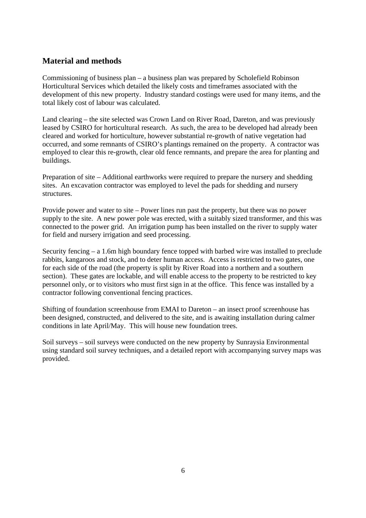## **Material and methods**

Commissioning of business plan – a business plan was prepared by Scholefield Robinson Horticultural Services which detailed the likely costs and timeframes associated with the development of this new property. Industry standard costings were used for many items, and the total likely cost of labour was calculated.

Land clearing – the site selected was Crown Land on River Road, Dareton, and was previously leased by CSIRO for horticultural research. As such, the area to be developed had already been cleared and worked for horticulture, however substantial re-growth of native vegetation had occurred, and some remnants of CSIRO's plantings remained on the property. A contractor was employed to clear this re-growth, clear old fence remnants, and prepare the area for planting and buildings.

Preparation of site – Additional earthworks were required to prepare the nursery and shedding sites. An excavation contractor was employed to level the pads for shedding and nursery structures.

Provide power and water to site – Power lines run past the property, but there was no power supply to the site. A new power pole was erected, with a suitably sized transformer, and this was connected to the power grid. An irrigation pump has been installed on the river to supply water for field and nursery irrigation and seed processing.

Security fencing – a 1.6m high boundary fence topped with barbed wire was installed to preclude rabbits, kangaroos and stock, and to deter human access. Access is restricted to two gates, one for each side of the road (the property is split by River Road into a northern and a southern section). These gates are lockable, and will enable access to the property to be restricted to key personnel only, or to visitors who must first sign in at the office. This fence was installed by a contractor following conventional fencing practices.

Shifting of foundation screenhouse from EMAI to Dareton – an insect proof screenhouse has been designed, constructed, and delivered to the site, and is awaiting installation during calmer conditions in late April/May. This will house new foundation trees.

Soil surveys – soil surveys were conducted on the new property by Sunraysia Environmental using standard soil survey techniques, and a detailed report with accompanying survey maps was provided.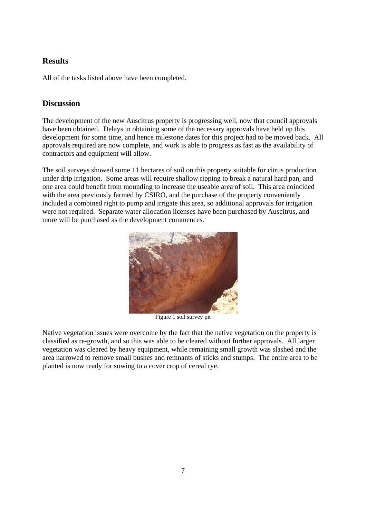## **Results**

All of the tasks listed above have been completed.

## **Discussion**

The development of the new Auscitrus property is progressing well, now that council approvals have been obtained. Delays in obtaining some of the necessary approvals have held up this development for some time, and hence milestone dates for this project had to be moved back. All approvals required are now complete, and work is able to progress as fast as the availability of contractors and equipment will allow.

The soil surveys showed some 11 hectares of soil on this property suitable for citrus production under drip irrigation. Some areas will require shallow ripping to break a natural hard pan, and one area could benefit from mounding to increase the useable area of soil. This area coincided with the area previously farmed by CSIRO, and the purchase of the property conveniently included a combined right to pump and irrigate this area, so additional approvals for irrigation were not required. Separate water allocation licenses have been purchased by Auscitrus, and more will be purchased as the development commences.



Figure 1 soil survey pit

Native vegetation issues were overcome by the fact that the native vegetation on the property is classified as re-growth, and so this was able to be cleared without further approvals. All larger vegetation was cleared by heavy equipment, while remaining small growth was slashed and the area harrowed to remove small bushes and remnants of sticks and stumps. The entire area to be planted is now ready for sowing to a cover crop of cereal rye.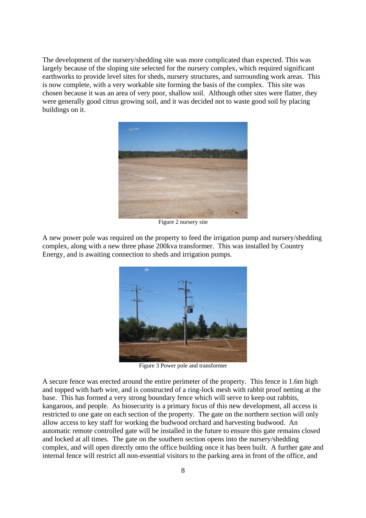The development of the nursery/shedding site was more complicated than expected. This was largely because of the sloping site selected for the nursery complex, which required significant earthworks to provide level sites for sheds, nursery structures, and surrounding work areas. This is now complete, with a very workable site forming the basis of the complex. This site was chosen because it was an area of very poor, shallow soil. Although other sites were flatter, they were generally good citrus growing soil, and it was decided not to waste good soil by placing buildings on it.



Figure 2 nursery site

A new power pole was required on the property to feed the irrigation pump and nursery/shedding complex, along with a new three phase 200kva transformer. This was installed by Country Energy, and is awaiting connection to sheds and irrigation pumps.



Figure 3 Power pole and transformer

A secure fence was erected around the entire perimeter of the property. This fence is 1.6m high and topped with barb wire, and is constructed of a ring-lock mesh with rabbit proof netting at the base. This has formed a very strong boundary fence which will serve to keep out rabbits, kangaroos, and people. As biosecurity is a primary focus of this new development, all access is restricted to one gate on each section of the property. The gate on the northern section will only allow access to key staff for working the budwood orchard and harvesting budwood. An automatic remote controlled gate will be installed in the future to ensure this gate remains closed and locked at all times. The gate on the southern section opens into the nursery/shedding complex, and will open directly onto the office building once it has been built. A further gate and internal fence will restrict all non-essential visitors to the parking area in front of the office, and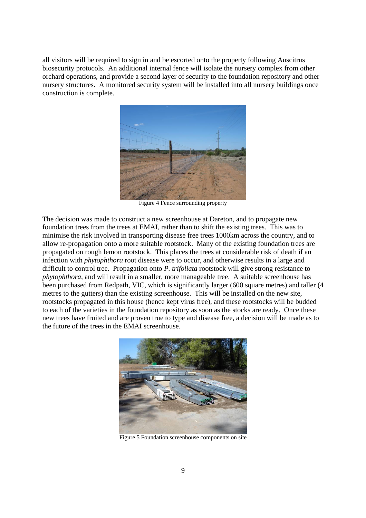all visitors will be required to sign in and be escorted onto the property following Auscitrus biosecurity protocols. An additional internal fence will isolate the nursery complex from other orchard operations, and provide a second layer of security to the foundation repository and other nursery structures. A monitored security system will be installed into all nursery buildings once construction is complete.



Figure 4 Fence surrounding property

The decision was made to construct a new screenhouse at Dareton, and to propagate new foundation trees from the trees at EMAI, rather than to shift the existing trees. This was to minimise the risk involved in transporting disease free trees 1000km across the country, and to allow re-propagation onto a more suitable rootstock. Many of the existing foundation trees are propagated on rough lemon rootstock. This places the trees at considerable risk of death if an infection with *phytophthora* root disease were to occur, and otherwise results in a large and difficult to control tree. Propagation onto *P. trifoliata* rootstock will give strong resistance to *phytophthora*, and will result in a smaller, more manageable tree. A suitable screenhouse has been purchased from Redpath, VIC, which is significantly larger (600 square metres) and taller (4 metres to the gutters) than the existing screenhouse. This will be installed on the new site, rootstocks propagated in this house (hence kept virus free), and these rootstocks will be budded to each of the varieties in the foundation repository as soon as the stocks are ready. Once these new trees have fruited and are proven true to type and disease free, a decision will be made as to the future of the trees in the EMAI screenhouse.



Figure 5 Foundation screenhouse components on site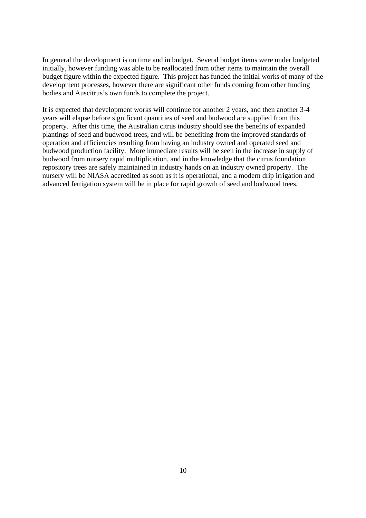In general the development is on time and in budget. Several budget items were under budgeted initially, however funding was able to be reallocated from other items to maintain the overall budget figure within the expected figure. This project has funded the initial works of many of the development processes, however there are significant other funds coming from other funding bodies and Auscitrus's own funds to complete the project.

It is expected that development works will continue for another 2 years, and then another 3-4 years will elapse before significant quantities of seed and budwood are supplied from this property. After this time, the Australian citrus industry should see the benefits of expanded plantings of seed and budwood trees, and will be benefiting from the improved standards of operation and efficiencies resulting from having an industry owned and operated seed and budwood production facility. More immediate results will be seen in the increase in supply of budwood from nursery rapid multiplication, and in the knowledge that the citrus foundation repository trees are safely maintained in industry hands on an industry owned property. The nursery will be NIASA accredited as soon as it is operational, and a modern drip irrigation and advanced fertigation system will be in place for rapid growth of seed and budwood trees.